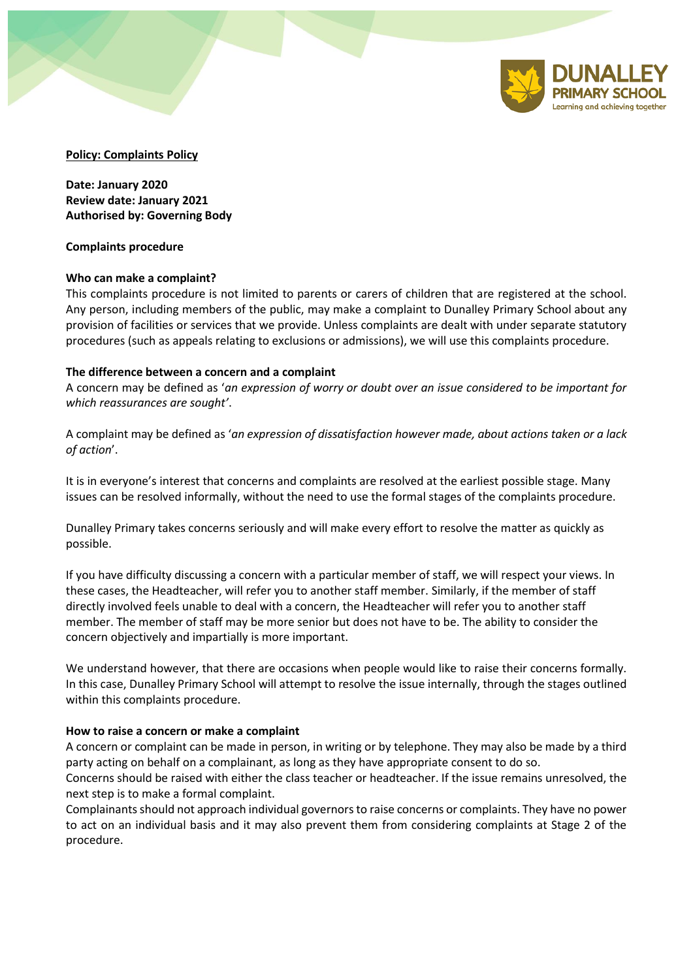

## **Policy: Complaints Policy**

**Date: January 2020 Review date: January 2021 Authorised by: Governing Body**

#### **Complaints procedure**

### **Who can make a complaint?**

This complaints procedure is not limited to parents or carers of children that are registered at the school. Any person, including members of the public, may make a complaint to Dunalley Primary School about any provision of facilities or services that we provide. Unless complaints are dealt with under separate statutory procedures (such as appeals relating to exclusions or admissions), we will use this complaints procedure.

### **The difference between a concern and a complaint**

A concern may be defined as '*an expression of worry or doubt over an issue considered to be important for which reassurances are sought'*.

A complaint may be defined as '*an expression of dissatisfaction however made, about actions taken or a lack of action*'.

It is in everyone's interest that concerns and complaints are resolved at the earliest possible stage. Many issues can be resolved informally, without the need to use the formal stages of the complaints procedure.

Dunalley Primary takes concerns seriously and will make every effort to resolve the matter as quickly as possible.

If you have difficulty discussing a concern with a particular member of staff, we will respect your views. In these cases, the Headteacher, will refer you to another staff member. Similarly, if the member of staff directly involved feels unable to deal with a concern, the Headteacher will refer you to another staff member. The member of staff may be more senior but does not have to be. The ability to consider the concern objectively and impartially is more important.

We understand however, that there are occasions when people would like to raise their concerns formally. In this case, Dunalley Primary School will attempt to resolve the issue internally, through the stages outlined within this complaints procedure.

#### **How to raise a concern or make a complaint**

A concern or complaint can be made in person, in writing or by telephone. They may also be made by a third party acting on behalf on a complainant, as long as they have appropriate consent to do so.

Concerns should be raised with either the class teacher or headteacher. If the issue remains unresolved, the next step is to make a formal complaint.

Complainants should not approach individual governors to raise concerns or complaints. They have no power to act on an individual basis and it may also prevent them from considering complaints at Stage 2 of the procedure.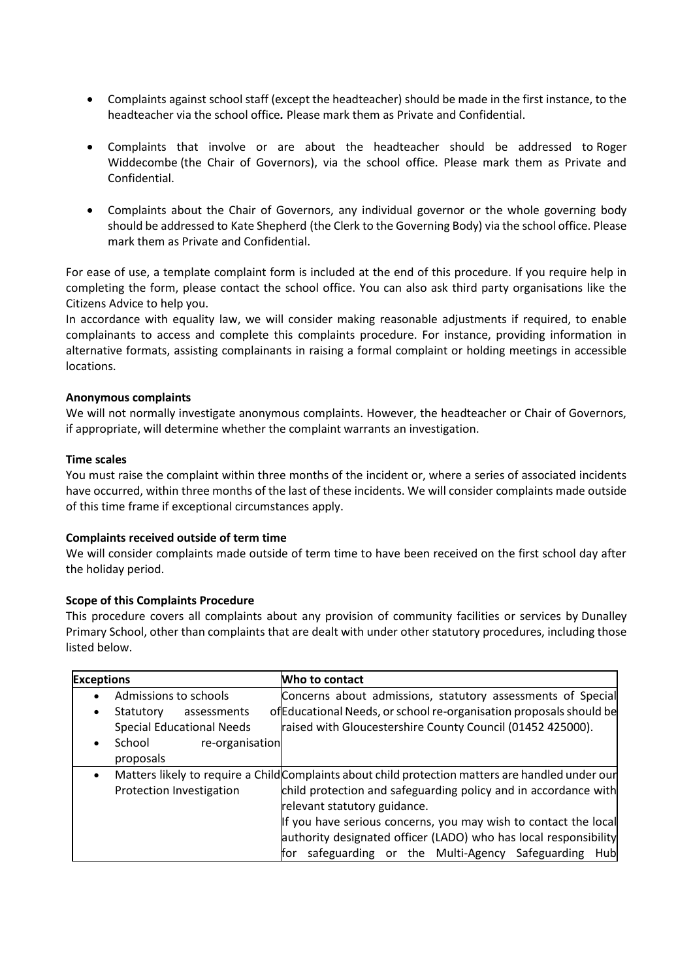- Complaints against school staff (except the headteacher) should be made in the first instance, to the headteacher via the school office*.* Please mark them as Private and Confidential.
- Complaints that involve or are about the headteacher should be addressed to Roger Widdecombe (the Chair of Governors), via the school office. Please mark them as Private and Confidential.
- Complaints about the Chair of Governors, any individual governor or the whole governing body should be addressed to Kate Shepherd (the Clerk to the Governing Body) via the school office. Please mark them as Private and Confidential.

For ease of use, a template complaint form is included at the end of this procedure. If you require help in completing the form, please contact the school office. You can also ask third party organisations like the Citizens Advice to help you.

In accordance with equality law, we will consider making reasonable adjustments if required, to enable complainants to access and complete this complaints procedure. For instance, providing information in alternative formats, assisting complainants in raising a formal complaint or holding meetings in accessible locations.

## **Anonymous complaints**

We will not normally investigate anonymous complaints. However, the headteacher or Chair of Governors, if appropriate, will determine whether the complaint warrants an investigation.

### **Time scales**

You must raise the complaint within three months of the incident or, where a series of associated incidents have occurred, within three months of the last of these incidents. We will consider complaints made outside of this time frame if exceptional circumstances apply.

## **Complaints received outside of term time**

We will consider complaints made outside of term time to have been received on the first school day after the holiday period.

## **Scope of this Complaints Procedure**

This procedure covers all complaints about any provision of community facilities or services by Dunalley Primary School, other than complaints that are dealt with under other statutory procedures, including those listed below.

| <b>Exceptions</b>                      | Who to contact                                                                                    |
|----------------------------------------|---------------------------------------------------------------------------------------------------|
| Admissions to schools<br>$\bullet$     | Concerns about admissions, statutory assessments of Special                                       |
| Statutory<br>assessments<br>$\bullet$  | of Educational Needs, or school re-organisation proposals should be                               |
| <b>Special Educational Needs</b>       | raised with Gloucestershire County Council (01452 425000).                                        |
| School<br>re-organisation<br>$\bullet$ |                                                                                                   |
| proposals                              |                                                                                                   |
| $\bullet$                              | Matters likely to require a Child Complaints about child protection matters are handled under our |
| Protection Investigation               | child protection and safeguarding policy and in accordance with                                   |
|                                        | relevant statutory guidance.                                                                      |
|                                        | If you have serious concerns, you may wish to contact the local                                   |
|                                        | authority designated officer (LADO) who has local responsibility                                  |
|                                        | safeguarding or the Multi-Agency Safeguarding<br>Hub<br>lfor                                      |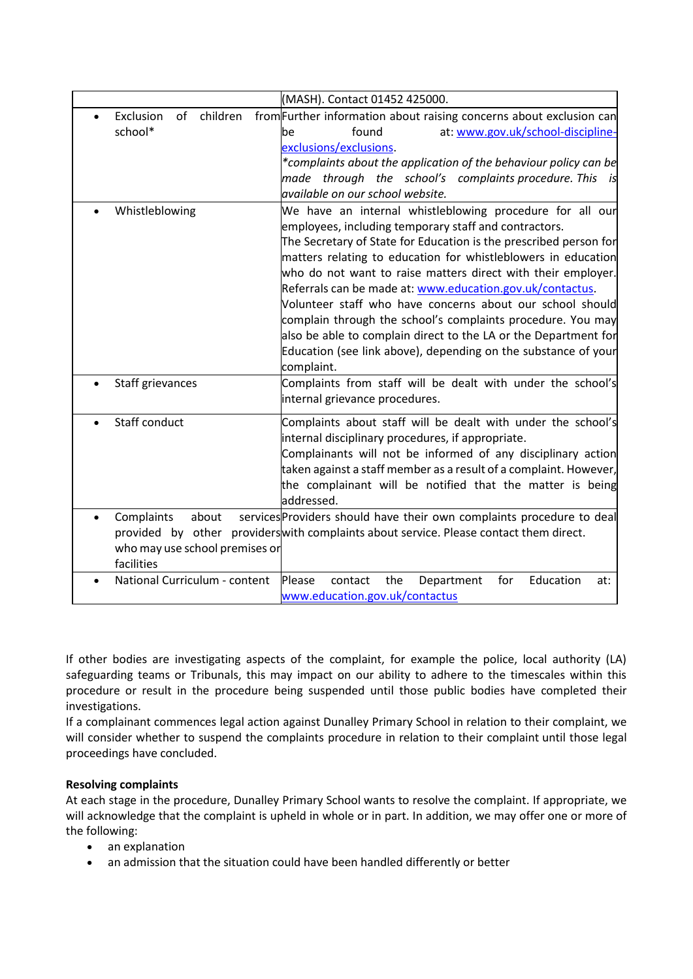|                                | (MASH). Contact 01452 425000.                                                          |
|--------------------------------|----------------------------------------------------------------------------------------|
| of<br>children<br>Exclusion    | from Further information about raising concerns about exclusion can                    |
| school*                        | found<br>at: www.gov.uk/school-discipline-<br>be                                       |
|                                | exclusions/exclusions.                                                                 |
|                                | *complaints about the application of the behaviour policy can be                       |
|                                | made through the school's complaints procedure. This<br>is                             |
|                                | available on our school website.                                                       |
| Whistleblowing                 | We have an internal whistleblowing procedure for all our                               |
|                                | employees, including temporary staff and contractors.                                  |
|                                | The Secretary of State for Education is the prescribed person for                      |
|                                | matters relating to education for whistleblowers in education                          |
|                                | who do not want to raise matters direct with their employer.                           |
|                                | Referrals can be made at: www.education.gov.uk/contactus.                              |
|                                | Volunteer staff who have concerns about our school should                              |
|                                | complain through the school's complaints procedure. You may                            |
|                                | also be able to complain direct to the LA or the Department for                        |
|                                | Education (see link above), depending on the substance of your                         |
|                                | complaint.                                                                             |
| Staff grievances<br>$\bullet$  | Complaints from staff will be dealt with under the school's                            |
|                                | internal grievance procedures.                                                         |
| Staff conduct                  | Complaints about staff will be dealt with under the school's                           |
|                                | internal disciplinary procedures, if appropriate.                                      |
|                                | Complainants will not be informed of any disciplinary action                           |
|                                | taken against a staff member as a result of a complaint. However,                      |
|                                | the complainant will be notified that the matter is being                              |
|                                | addressed.                                                                             |
| Complaints<br>about            | services Providers should have their own complaints procedure to deal                  |
|                                | provided by other providers with complaints about service. Please contact them direct. |
| who may use school premises or |                                                                                        |
| facilities                     |                                                                                        |
| National Curriculum - content  | Please<br>Education<br>contact<br>the<br>Department<br>for<br>at:                      |
|                                | www.education.gov.uk/contactus                                                         |
|                                |                                                                                        |

If other bodies are investigating aspects of the complaint, for example the police, local authority (LA) safeguarding teams or Tribunals, this may impact on our ability to adhere to the timescales within this procedure or result in the procedure being suspended until those public bodies have completed their investigations.

If a complainant commences legal action against Dunalley Primary School in relation to their complaint, we will consider whether to suspend the complaints procedure in relation to their complaint until those legal proceedings have concluded.

# **Resolving complaints**

At each stage in the procedure, Dunalley Primary School wants to resolve the complaint. If appropriate, we will acknowledge that the complaint is upheld in whole or in part. In addition, we may offer one or more of the following:

- an explanation
- an admission that the situation could have been handled differently or better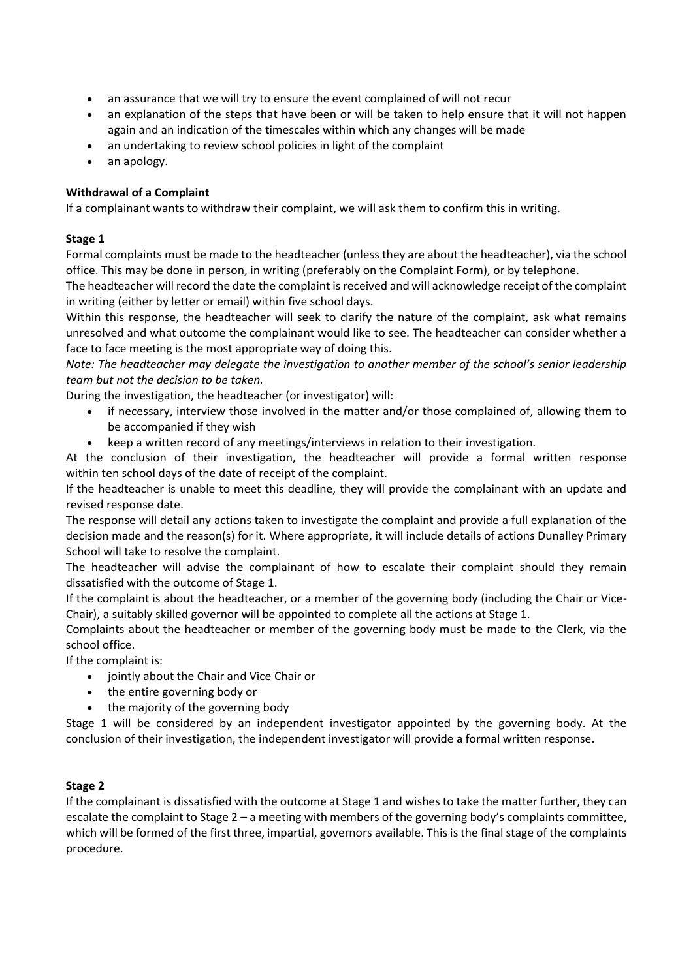- an assurance that we will try to ensure the event complained of will not recur
- an explanation of the steps that have been or will be taken to help ensure that it will not happen again and an indication of the timescales within which any changes will be made
- an undertaking to review school policies in light of the complaint
- an apology.

# **Withdrawal of a Complaint**

If a complainant wants to withdraw their complaint, we will ask them to confirm this in writing.

# **Stage 1**

Formal complaints must be made to the headteacher (unless they are about the headteacher), via the school office. This may be done in person, in writing (preferably on the Complaint Form), or by telephone.

The headteacher will record the date the complaint is received and will acknowledge receipt of the complaint in writing (either by letter or email) within five school days.

Within this response, the headteacher will seek to clarify the nature of the complaint, ask what remains unresolved and what outcome the complainant would like to see. The headteacher can consider whether a face to face meeting is the most appropriate way of doing this.

*Note: The headteacher may delegate the investigation to another member of the school's senior leadership team but not the decision to be taken.*

During the investigation, the headteacher (or investigator) will:

- if necessary, interview those involved in the matter and/or those complained of, allowing them to be accompanied if they wish
- keep a written record of any meetings/interviews in relation to their investigation.

At the conclusion of their investigation, the headteacher will provide a formal written response within ten school days of the date of receipt of the complaint.

If the headteacher is unable to meet this deadline, they will provide the complainant with an update and revised response date.

The response will detail any actions taken to investigate the complaint and provide a full explanation of the decision made and the reason(s) for it. Where appropriate, it will include details of actions Dunalley Primary School will take to resolve the complaint.

The headteacher will advise the complainant of how to escalate their complaint should they remain dissatisfied with the outcome of Stage 1.

If the complaint is about the headteacher, or a member of the governing body (including the Chair or Vice-Chair), a suitably skilled governor will be appointed to complete all the actions at Stage 1.

Complaints about the headteacher or member of the governing body must be made to the Clerk, via the school office.

If the complaint is:

- jointly about the Chair and Vice Chair or
- the entire governing body or
- the majority of the governing body

Stage 1 will be considered by an independent investigator appointed by the governing body. At the conclusion of their investigation, the independent investigator will provide a formal written response.

# **Stage 2**

If the complainant is dissatisfied with the outcome at Stage 1 and wishes to take the matter further, they can escalate the complaint to Stage 2 – a meeting with members of the governing body's complaints committee, which will be formed of the first three, impartial, governors available. This is the final stage of the complaints procedure.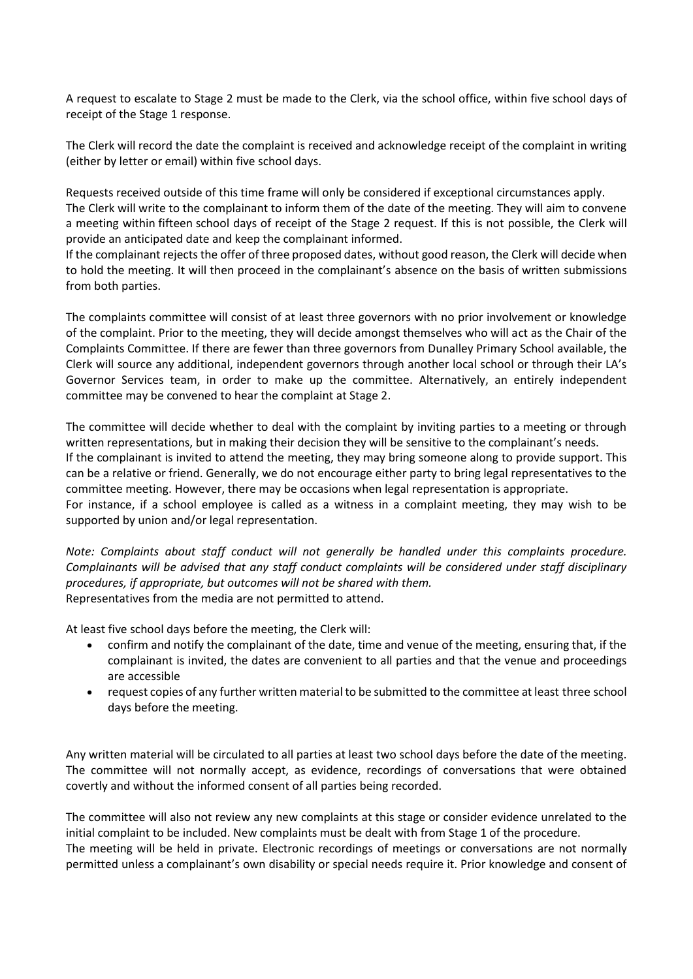A request to escalate to Stage 2 must be made to the Clerk, via the school office, within five school days of receipt of the Stage 1 response.

The Clerk will record the date the complaint is received and acknowledge receipt of the complaint in writing (either by letter or email) within five school days.

Requests received outside of this time frame will only be considered if exceptional circumstances apply. The Clerk will write to the complainant to inform them of the date of the meeting. They will aim to convene a meeting within fifteen school days of receipt of the Stage 2 request. If this is not possible, the Clerk will provide an anticipated date and keep the complainant informed.

If the complainant rejects the offer of three proposed dates, without good reason, the Clerk will decide when to hold the meeting. It will then proceed in the complainant's absence on the basis of written submissions from both parties.

The complaints committee will consist of at least three governors with no prior involvement or knowledge of the complaint. Prior to the meeting, they will decide amongst themselves who will act as the Chair of the Complaints Committee. If there are fewer than three governors from Dunalley Primary School available, the Clerk will source any additional, independent governors through another local school or through their LA's Governor Services team, in order to make up the committee. Alternatively, an entirely independent committee may be convened to hear the complaint at Stage 2.

The committee will decide whether to deal with the complaint by inviting parties to a meeting or through written representations, but in making their decision they will be sensitive to the complainant's needs. If the complainant is invited to attend the meeting, they may bring someone along to provide support. This can be a relative or friend. Generally, we do not encourage either party to bring legal representatives to the committee meeting. However, there may be occasions when legal representation is appropriate. For instance, if a school employee is called as a witness in a complaint meeting, they may wish to be

supported by union and/or legal representation.

*Note: Complaints about staff conduct will not generally be handled under this complaints procedure. Complainants will be advised that any staff conduct complaints will be considered under staff disciplinary procedures, if appropriate, but outcomes will not be shared with them.* Representatives from the media are not permitted to attend.

At least five school days before the meeting, the Clerk will:

- confirm and notify the complainant of the date, time and venue of the meeting, ensuring that, if the complainant is invited, the dates are convenient to all parties and that the venue and proceedings are accessible
- request copies of any further written material to be submitted to the committee at least three school days before the meeting.

Any written material will be circulated to all parties at least two school days before the date of the meeting. The committee will not normally accept, as evidence, recordings of conversations that were obtained covertly and without the informed consent of all parties being recorded.

The committee will also not review any new complaints at this stage or consider evidence unrelated to the initial complaint to be included. New complaints must be dealt with from Stage 1 of the procedure. The meeting will be held in private. Electronic recordings of meetings or conversations are not normally permitted unless a complainant's own disability or special needs require it. Prior knowledge and consent of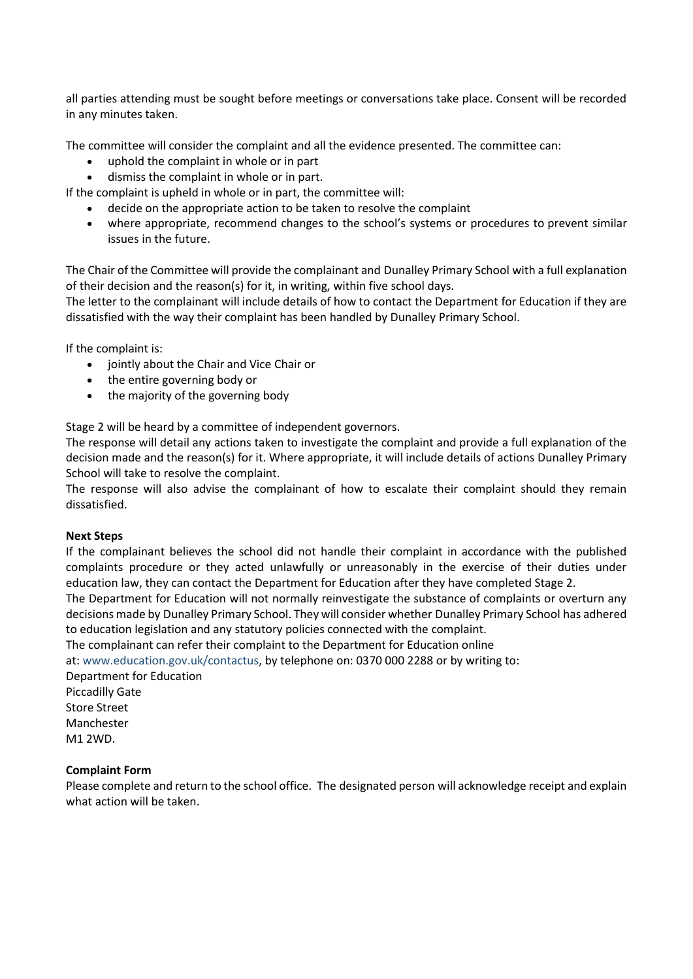all parties attending must be sought before meetings or conversations take place. Consent will be recorded in any minutes taken.

The committee will consider the complaint and all the evidence presented. The committee can:

- uphold the complaint in whole or in part
- dismiss the complaint in whole or in part.

If the complaint is upheld in whole or in part, the committee will:

- decide on the appropriate action to be taken to resolve the complaint
- where appropriate, recommend changes to the school's systems or procedures to prevent similar issues in the future.

The Chair of the Committee will provide the complainant and Dunalley Primary School with a full explanation of their decision and the reason(s) for it, in writing, within five school days.

The letter to the complainant will include details of how to contact the Department for Education if they are dissatisfied with the way their complaint has been handled by Dunalley Primary School.

If the complaint is:

- jointly about the Chair and Vice Chair or
- the entire governing body or
- the majority of the governing body

Stage 2 will be heard by a committee of independent governors.

The response will detail any actions taken to investigate the complaint and provide a full explanation of the decision made and the reason(s) for it. Where appropriate, it will include details of actions Dunalley Primary School will take to resolve the complaint.

The response will also advise the complainant of how to escalate their complaint should they remain dissatisfied.

#### **Next Steps**

If the complainant believes the school did not handle their complaint in accordance with the published complaints procedure or they acted unlawfully or unreasonably in the exercise of their duties under education law, they can contact the Department for Education after they have completed Stage 2.

The Department for Education will not normally reinvestigate the substance of complaints or overturn any decisions made by Dunalley Primary School. They will consider whether Dunalley Primary School has adhered to education legislation and any statutory policies connected with the complaint.

The complainant can refer their complaint to the Department for Education online

at: [www.education.gov.uk/contactus,](http://www.education.gov.uk/contactus) by telephone on: 0370 000 2288 or by writing to:

Department for Education Piccadilly Gate Store Street Manchester M1 2WD.

#### **Complaint Form**

Please complete and return to the school office. The designated person will acknowledge receipt and explain what action will be taken.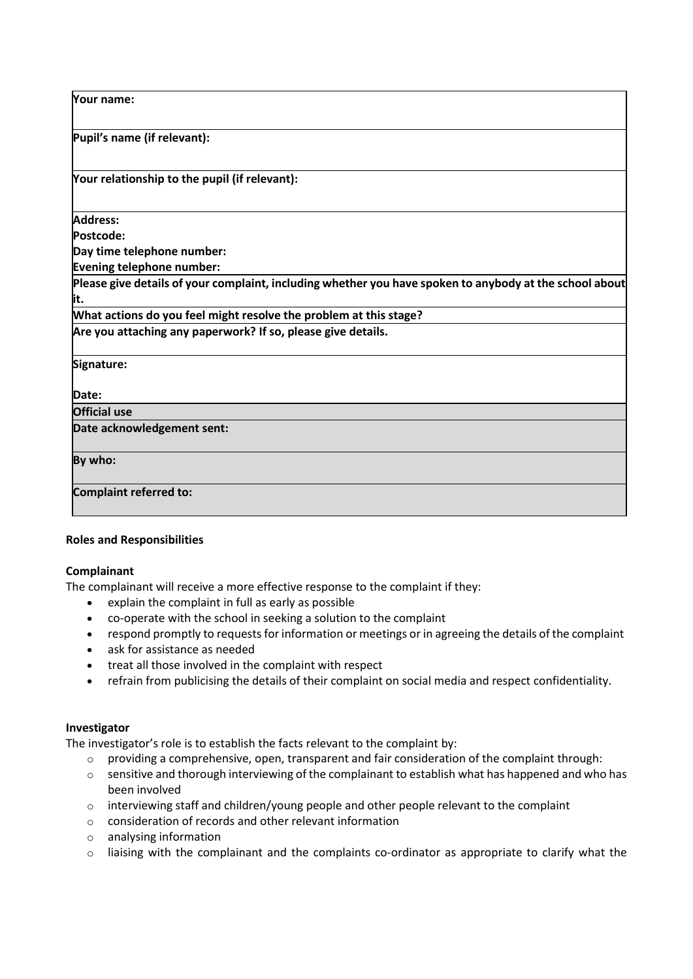**Your name:**

**Pupil's name (if relevant):**

**Your relationship to the pupil (if relevant):**

**Address:**

**Postcode:**

**Day time telephone number:**

**Evening telephone number:**

**Please give details of your complaint, including whether you have spoken to anybody at the school about it.**

**What actions do you feel might resolve the problem at this stage?**

**Are you attaching any paperwork? If so, please give details.**

**Signature:**

**Date:**

**Official use**

**Date acknowledgement sent:**

**By who:**

**Complaint referred to:**

## **Roles and Responsibilities**

## **Complainant**

The complainant will receive a more effective response to the complaint if they:

- explain the complaint in full as early as possible
- co-operate with the school in seeking a solution to the complaint
- respond promptly to requests for information or meetings or in agreeing the details of the complaint
- ask for assistance as needed
- treat all those involved in the complaint with respect
- refrain from publicising the details of their complaint on social media and respect confidentiality.

#### **Investigator**

The investigator's role is to establish the facts relevant to the complaint by:

- $\circ$  providing a comprehensive, open, transparent and fair consideration of the complaint through:
- $\circ$  sensitive and thorough interviewing of the complainant to establish what has happened and who has been involved
- $\circ$  interviewing staff and children/young people and other people relevant to the complaint
- o consideration of records and other relevant information
- o analysing information
- o liaising with the complainant and the complaints co-ordinator as appropriate to clarify what the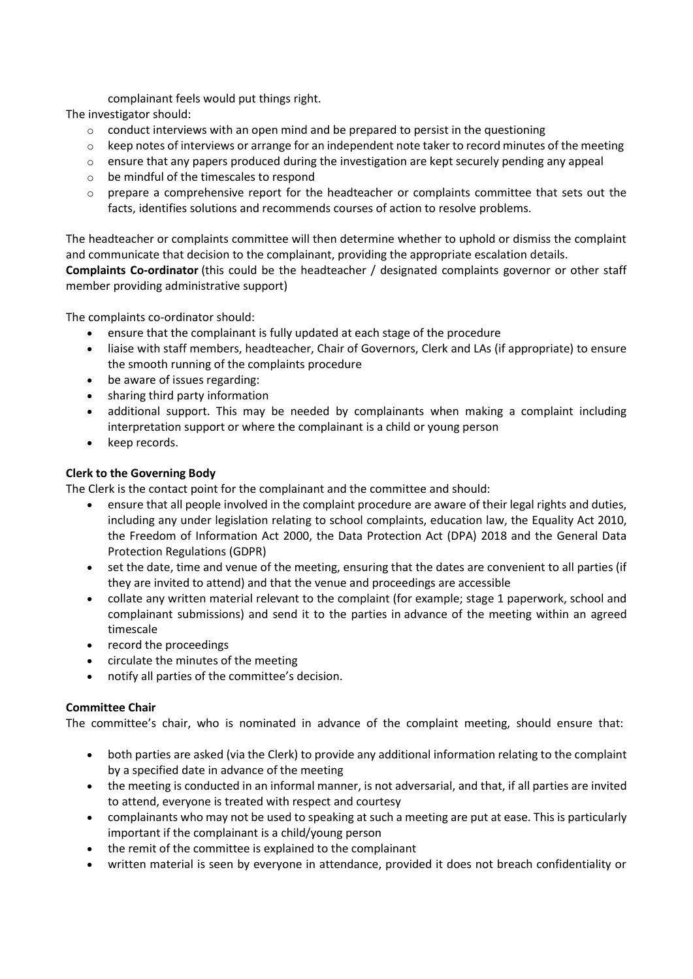complainant feels would put things right.

The investigator should:

- $\circ$  conduct interviews with an open mind and be prepared to persist in the questioning
- o keep notes of interviews or arrange for an independent note taker to record minutes of the meeting
- $\circ$  ensure that any papers produced during the investigation are kept securely pending any appeal
- o be mindful of the timescales to respond
- $\circ$  prepare a comprehensive report for the headteacher or complaints committee that sets out the facts, identifies solutions and recommends courses of action to resolve problems.

The headteacher or complaints committee will then determine whether to uphold or dismiss the complaint and communicate that decision to the complainant, providing the appropriate escalation details.

**Complaints Co-ordinator** (this could be the headteacher / designated complaints governor or other staff member providing administrative support)

The complaints co-ordinator should:

- ensure that the complainant is fully updated at each stage of the procedure
- liaise with staff members, headteacher, Chair of Governors, Clerk and LAs (if appropriate) to ensure the smooth running of the complaints procedure
- be aware of issues regarding:
- sharing third party information
- additional support. This may be needed by complainants when making a complaint including interpretation support or where the complainant is a child or young person
- keep records.

## **Clerk to the Governing Body**

The Clerk is the contact point for the complainant and the committee and should:

- ensure that all people involved in the complaint procedure are aware of their legal rights and duties, including any under legislation relating to school complaints, education law, the Equality Act 2010, the Freedom of Information Act 2000, the Data Protection Act (DPA) 2018 and the General Data Protection Regulations (GDPR)
- set the date, time and venue of the meeting, ensuring that the dates are convenient to all parties (if they are invited to attend) and that the venue and proceedings are accessible
- collate any written material relevant to the complaint (for example; stage 1 paperwork, school and complainant submissions) and send it to the parties in advance of the meeting within an agreed timescale
- record the proceedings
- circulate the minutes of the meeting
- notify all parties of the committee's decision.

## **Committee Chair**

The committee's chair, who is nominated in advance of the complaint meeting, should ensure that:

- both parties are asked (via the Clerk) to provide any additional information relating to the complaint by a specified date in advance of the meeting
- the meeting is conducted in an informal manner, is not adversarial, and that, if all parties are invited to attend, everyone is treated with respect and courtesy
- complainants who may not be used to speaking at such a meeting are put at ease. This is particularly important if the complainant is a child/young person
- the remit of the committee is explained to the complainant
- written material is seen by everyone in attendance, provided it does not breach confidentiality or